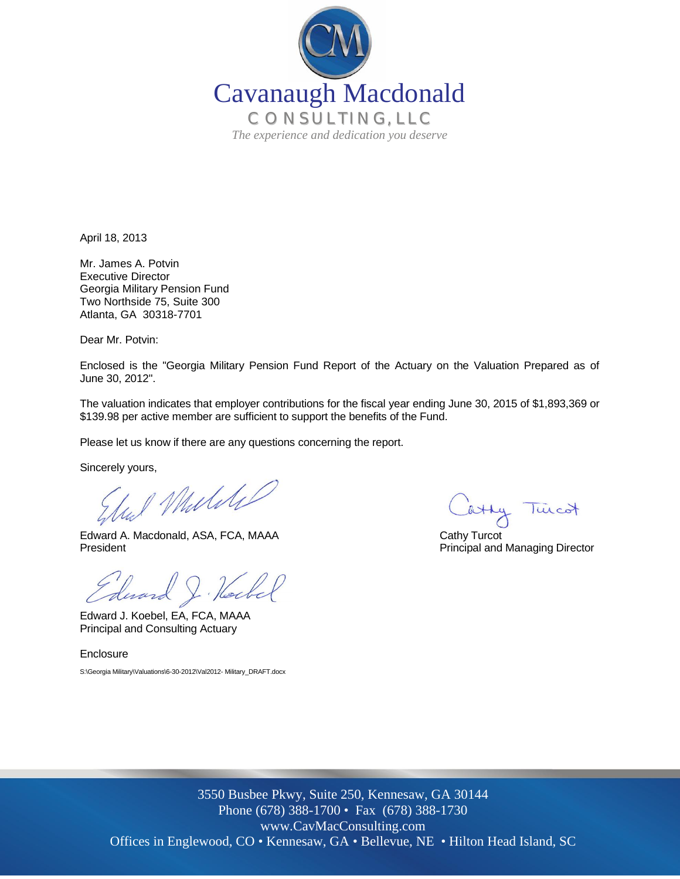

April 18, 2013

Mr. James A. Potvin Executive Director Georgia Military Pension Fund Two Northside 75, Suite 300 Atlanta, GA 30318-7701

Dear Mr. Potvin:

Enclosed is the "Georgia Military Pension Fund Report of the Actuary on the Valuation Prepared as of June 30, 2012".

The valuation indicates that employer contributions for the fiscal year ending June 30, 2015 of \$1,893,369 or \$139.98 per active member are sufficient to support the benefits of the Fund.

Please let us know if there are any questions concerning the report.

Sincerely yours,

I Muliki

Edward A. Macdonald, ASA, FCA, MAAA Cathy Turcot President **President** Principal and Managing Director

Edward J. Hockel

Edward J. Koebel, EA, FCA, MAAA Principal and Consulting Actuary

**Enclosure** 

S:\Georgia Military\Valuations\6-30-2012\Val2012- Military\_DRAFT.docx

atty Turcot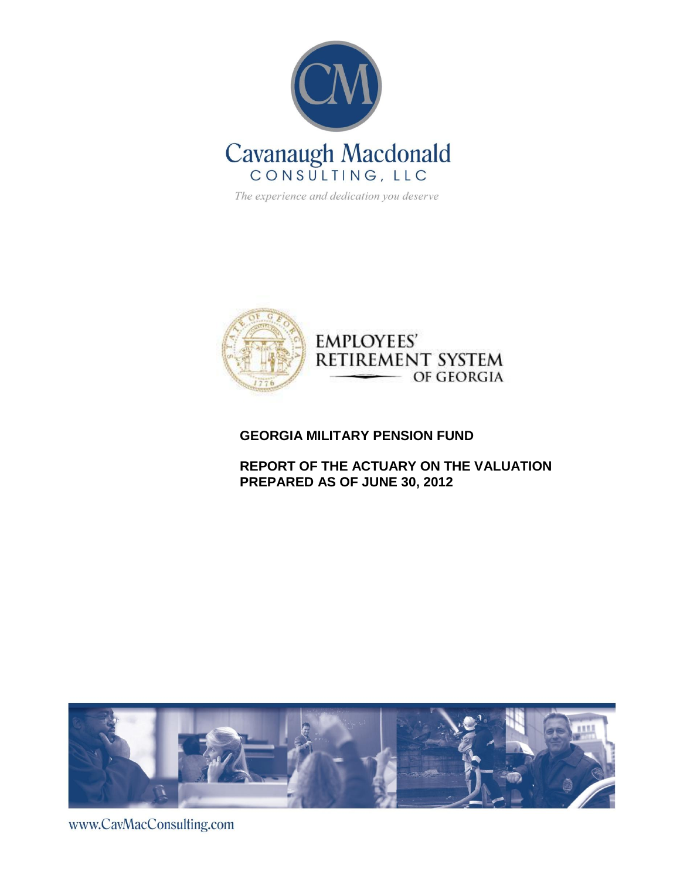

The experience and dedication you deserve



## **GEORGIA MILITARY PENSION FUND**

# **REPORT OF THE ACTUARY ON THE VALUATION PREPARED AS OF JUNE 30, 2012**



www.CavMacConsulting.com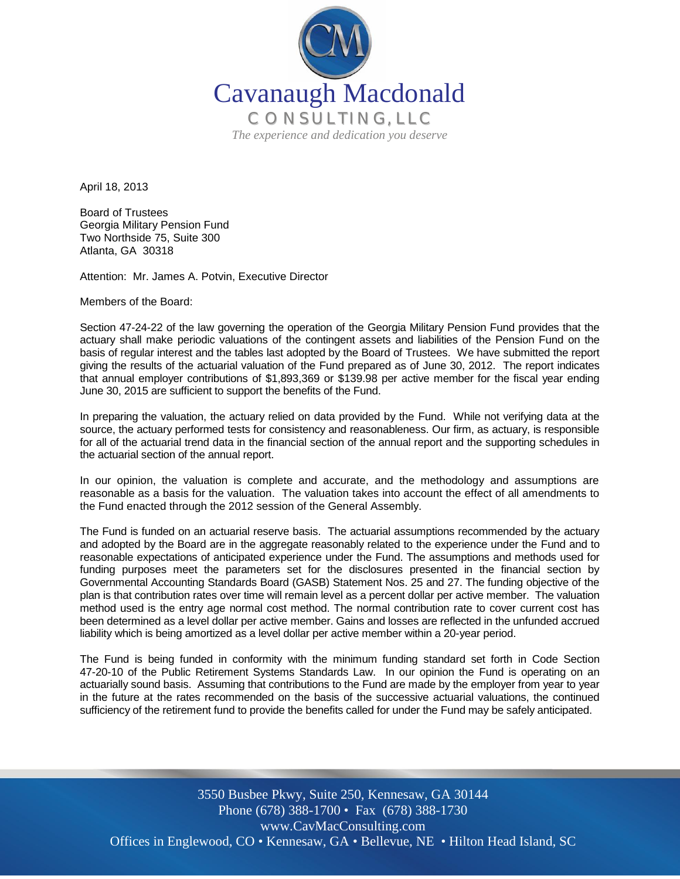

April 18, 2013

Board of Trustees Georgia Military Pension Fund Two Northside 75, Suite 300 Atlanta, GA 30318

Attention: Mr. James A. Potvin, Executive Director

Members of the Board:

Section 47-24-22 of the law governing the operation of the Georgia Military Pension Fund provides that the actuary shall make periodic valuations of the contingent assets and liabilities of the Pension Fund on the basis of regular interest and the tables last adopted by the Board of Trustees. We have submitted the report giving the results of the actuarial valuation of the Fund prepared as of June 30, 2012. The report indicates that annual employer contributions of \$1,893,369 or \$139.98 per active member for the fiscal year ending June 30, 2015 are sufficient to support the benefits of the Fund.

In preparing the valuation, the actuary relied on data provided by the Fund. While not verifying data at the source, the actuary performed tests for consistency and reasonableness. Our firm, as actuary, is responsible for all of the actuarial trend data in the financial section of the annual report and the supporting schedules in the actuarial section of the annual report.

In our opinion, the valuation is complete and accurate, and the methodology and assumptions are reasonable as a basis for the valuation. The valuation takes into account the effect of all amendments to the Fund enacted through the 2012 session of the General Assembly.

The Fund is funded on an actuarial reserve basis. The actuarial assumptions recommended by the actuary and adopted by the Board are in the aggregate reasonably related to the experience under the Fund and to reasonable expectations of anticipated experience under the Fund. The assumptions and methods used for funding purposes meet the parameters set for the disclosures presented in the financial section by Governmental Accounting Standards Board (GASB) Statement Nos. 25 and 27. The funding objective of the plan is that contribution rates over time will remain level as a percent dollar per active member. The valuation method used is the entry age normal cost method. The normal contribution rate to cover current cost has been determined as a level dollar per active member. Gains and losses are reflected in the unfunded accrued liability which is being amortized as a level dollar per active member within a 20-year period.

The Fund is being funded in conformity with the minimum funding standard set forth in Code Section 47-20-10 of the Public Retirement Systems Standards Law. In our opinion the Fund is operating on an actuarially sound basis. Assuming that contributions to the Fund are made by the employer from year to year in the future at the rates recommended on the basis of the successive actuarial valuations, the continued sufficiency of the retirement fund to provide the benefits called for under the Fund may be safely anticipated.

Offices in Englewood, CO • Kennesaw, GA • Bellevue, NE • Hilton Head Island, SC 3550 Busbee Pkwy, Suite 250, Kennesaw, GA 30144 Phone (678) 388-1700 • Fax (678) 388-1730 www.CavMacConsulting.com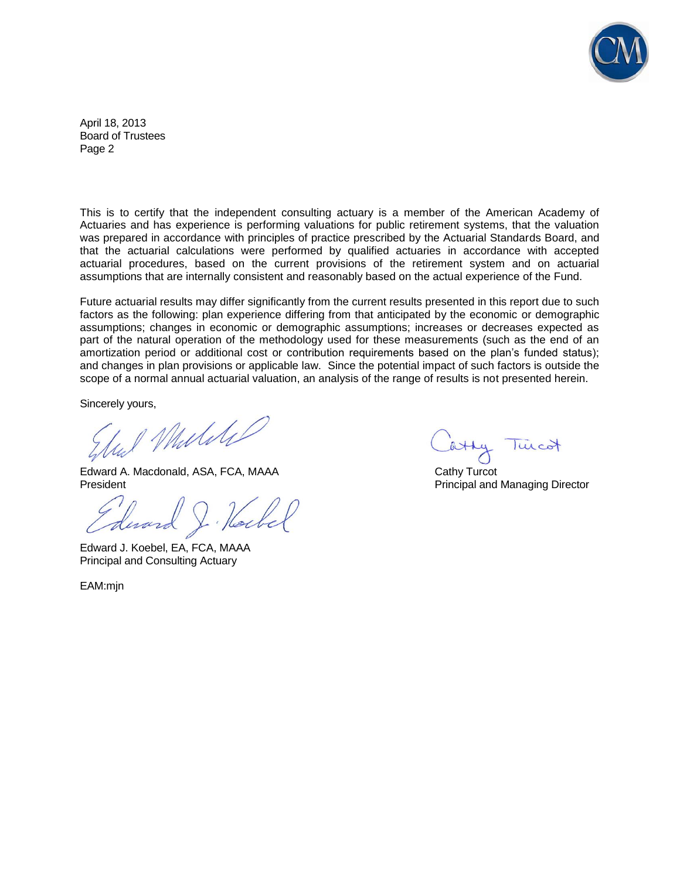

April 18, 2013 Board of Trustees Page 2

This is to certify that the independent consulting actuary is a member of the American Academy of Actuaries and has experience is performing valuations for public retirement systems, that the valuation was prepared in accordance with principles of practice prescribed by the Actuarial Standards Board, and that the actuarial calculations were performed by qualified actuaries in accordance with accepted actuarial procedures, based on the current provisions of the retirement system and on actuarial assumptions that are internally consistent and reasonably based on the actual experience of the Fund.

Future actuarial results may differ significantly from the current results presented in this report due to such factors as the following: plan experience differing from that anticipated by the economic or demographic assumptions; changes in economic or demographic assumptions; increases or decreases expected as part of the natural operation of the methodology used for these measurements (such as the end of an amortization period or additional cost or contribution requirements based on the plan's funded status); and changes in plan provisions or applicable law. Since the potential impact of such factors is outside the scope of a normal annual actuarial valuation, an analysis of the range of results is not presented herein.

Sincerely yours,

Mulile

Edward A. Macdonald, ASA, FCA, MAAA Cathy Turcot **President** President **Principal and Managing Director** Principal and Managing Director

Edward J. Koebel, EA, FCA, MAAA Principal and Consulting Actuary

EAM:mjn

Turcot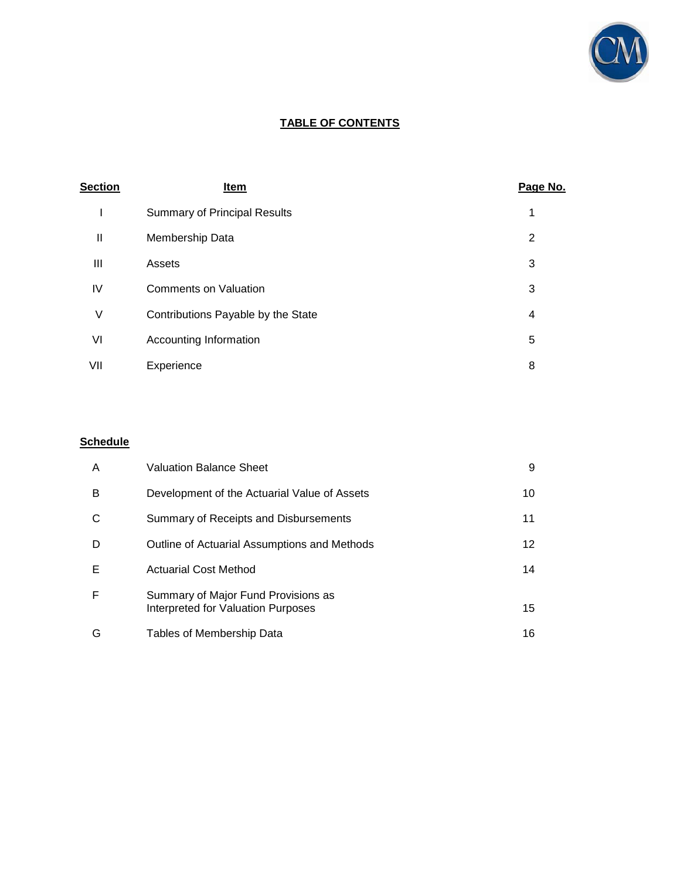

# **TABLE OF CONTENTS**

| <b>Section</b> | Item                                | Page No. |
|----------------|-------------------------------------|----------|
|                | <b>Summary of Principal Results</b> | 1        |
| $\mathbf{  }$  | Membership Data                     | 2        |
| Ш              | Assets                              | 3        |
| IV             | <b>Comments on Valuation</b>        | 3        |
| ٧              | Contributions Payable by the State  | 4        |
| VI             | Accounting Information              | 5        |
| VII            | Experience                          | 8        |

# **Schedule**

| A | <b>Valuation Balance Sheet</b>                                            | 9               |
|---|---------------------------------------------------------------------------|-----------------|
| в | Development of the Actuarial Value of Assets                              | 10              |
| С | Summary of Receipts and Disbursements                                     | 11              |
| D | Outline of Actuarial Assumptions and Methods                              | 12 <sup>°</sup> |
| Е | <b>Actuarial Cost Method</b>                                              | 14              |
| F | Summary of Major Fund Provisions as<br>Interpreted for Valuation Purposes | 15              |
| G | Tables of Membership Data                                                 | 16              |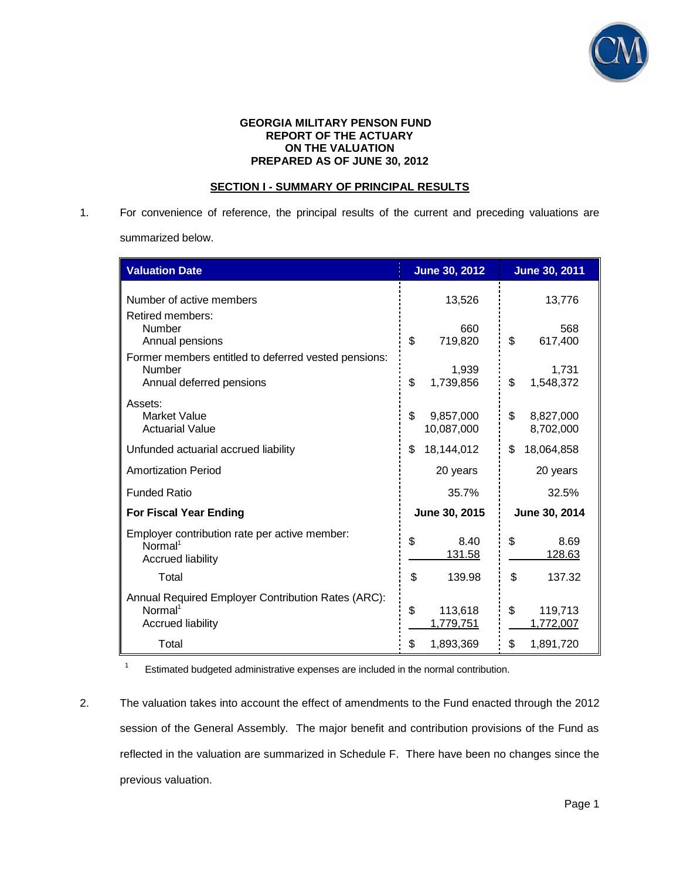

#### **GEORGIA MILITARY PENSON FUND REPORT OF THE ACTUARY ON THE VALUATION PREPARED AS OF JUNE 30, 2012**

### **SECTION I - SUMMARY OF PRINCIPAL RESULTS**

1. For convenience of reference, the principal results of the current and preceding valuations are summarized below.

| <b>Valuation Date</b>                                                                                 | <b>June 30, 2012</b>          | <b>June 30, 2011</b>         |
|-------------------------------------------------------------------------------------------------------|-------------------------------|------------------------------|
| Number of active members<br>Retired members:                                                          | 13,526                        | 13,776                       |
| <b>Number</b><br>Annual pensions                                                                      | 660<br>\$<br>719,820          | 568<br>\$<br>617,400         |
| Former members entitled to deferred vested pensions:<br><b>Number</b><br>Annual deferred pensions     | 1,939<br>\$<br>1,739,856      | 1,731<br>\$<br>1,548,372     |
| Assets:<br><b>Market Value</b><br><b>Actuarial Value</b>                                              | \$<br>9,857,000<br>10,087,000 | \$<br>8,827,000<br>8,702,000 |
| Unfunded actuarial accrued liability                                                                  | 18,144,012<br>\$              | \$<br>18,064,858             |
| <b>Amortization Period</b>                                                                            | 20 years                      | 20 years                     |
| <b>Funded Ratio</b>                                                                                   | 35.7%                         | 32.5%                        |
| <b>For Fiscal Year Ending</b>                                                                         | June 30, 2015                 | June 30, 2014                |
| Employer contribution rate per active member:<br>Normal <sup>1</sup><br><b>Accrued liability</b>      | \$<br>8.40<br>131.58          | \$<br>8.69<br>128.63         |
| Total                                                                                                 | \$<br>139.98                  | \$<br>137.32                 |
| Annual Required Employer Contribution Rates (ARC):<br>Normal <sup>1</sup><br><b>Accrued liability</b> | \$<br>113,618<br>1,779,751    | \$<br>119,713<br>1,772,007   |
| Total                                                                                                 | \$<br>1,893,369               | \$<br>1,891,720              |

 $\overline{1}$ Estimated budgeted administrative expenses are included in the normal contribution.

2. The valuation takes into account the effect of amendments to the Fund enacted through the 2012 session of the General Assembly. The major benefit and contribution provisions of the Fund as reflected in the valuation are summarized in Schedule F. There have been no changes since the previous valuation.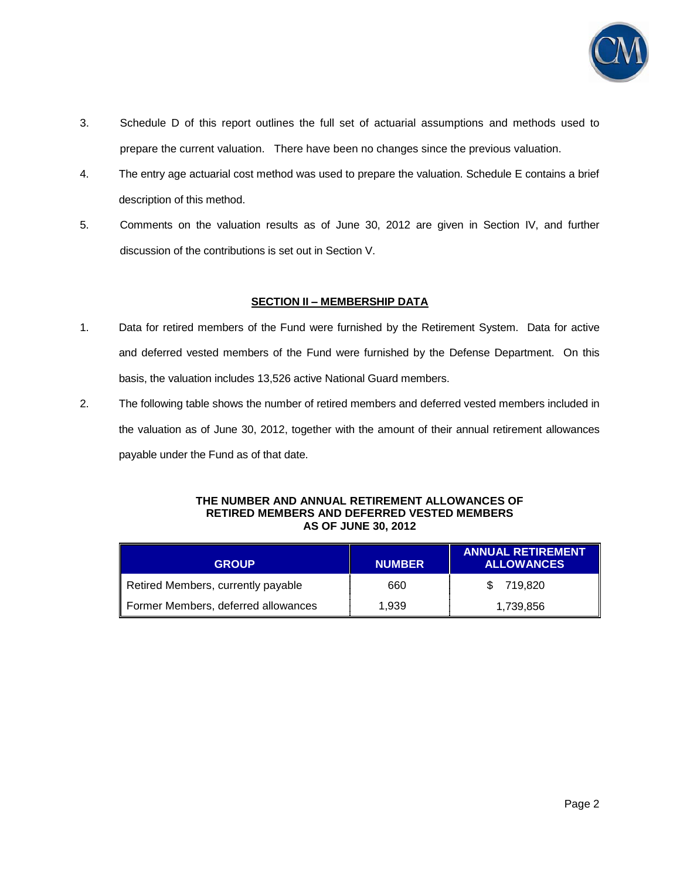

- 3. Schedule D of this report outlines the full set of actuarial assumptions and methods used to prepare the current valuation. There have been no changes since the previous valuation.
- 4. The entry age actuarial cost method was used to prepare the valuation. Schedule E contains a brief description of this method.
- 5. Comments on the valuation results as of June 30, 2012 are given in Section IV, and further discussion of the contributions is set out in Section V.

### **SECTION II – MEMBERSHIP DATA**

- 1. Data for retired members of the Fund were furnished by the Retirement System. Data for active and deferred vested members of the Fund were furnished by the Defense Department. On this basis, the valuation includes 13,526 active National Guard members.
- 2. The following table shows the number of retired members and deferred vested members included in the valuation as of June 30, 2012, together with the amount of their annual retirement allowances payable under the Fund as of that date.

#### **THE NUMBER AND ANNUAL RETIREMENT ALLOWANCES OF RETIRED MEMBERS AND DEFERRED VESTED MEMBERS AS OF JUNE 30, 2012**

| <b>GROUP</b>                        | <b>NUMBER</b> | <b>ANNUAL RETIREMENT</b><br><b>ALLOWANCES</b> |
|-------------------------------------|---------------|-----------------------------------------------|
| Retired Members, currently payable  | 660           | 719.820<br>\$.                                |
| Former Members, deferred allowances | 1.939         | 1,739,856                                     |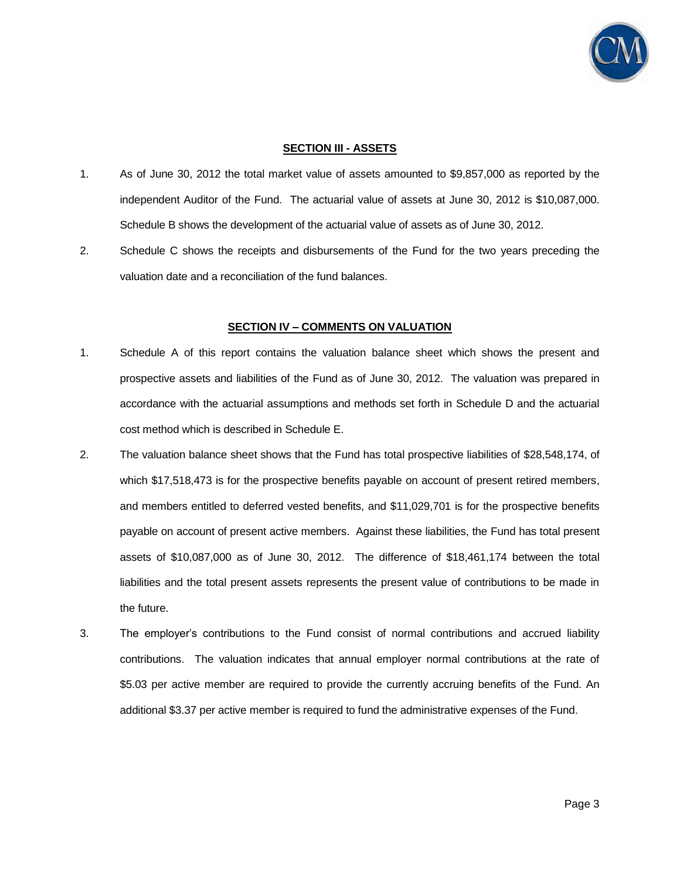

#### **SECTION III - ASSETS**

- 1. As of June 30, 2012 the total market value of assets amounted to \$9,857,000 as reported by the independent Auditor of the Fund. The actuarial value of assets at June 30, 2012 is \$10,087,000. Schedule B shows the development of the actuarial value of assets as of June 30, 2012.
- 2. Schedule C shows the receipts and disbursements of the Fund for the two years preceding the valuation date and a reconciliation of the fund balances.

### **SECTION IV – COMMENTS ON VALUATION**

- 1. Schedule A of this report contains the valuation balance sheet which shows the present and prospective assets and liabilities of the Fund as of June 30, 2012. The valuation was prepared in accordance with the actuarial assumptions and methods set forth in Schedule D and the actuarial cost method which is described in Schedule E.
- 2. The valuation balance sheet shows that the Fund has total prospective liabilities of \$28,548,174, of which \$17,518,473 is for the prospective benefits payable on account of present retired members, and members entitled to deferred vested benefits, and \$11,029,701 is for the prospective benefits payable on account of present active members. Against these liabilities, the Fund has total present assets of \$10,087,000 as of June 30, 2012. The difference of \$18,461,174 between the total liabilities and the total present assets represents the present value of contributions to be made in the future.
- 3. The employer's contributions to the Fund consist of normal contributions and accrued liability contributions. The valuation indicates that annual employer normal contributions at the rate of \$5.03 per active member are required to provide the currently accruing benefits of the Fund. An additional \$3.37 per active member is required to fund the administrative expenses of the Fund.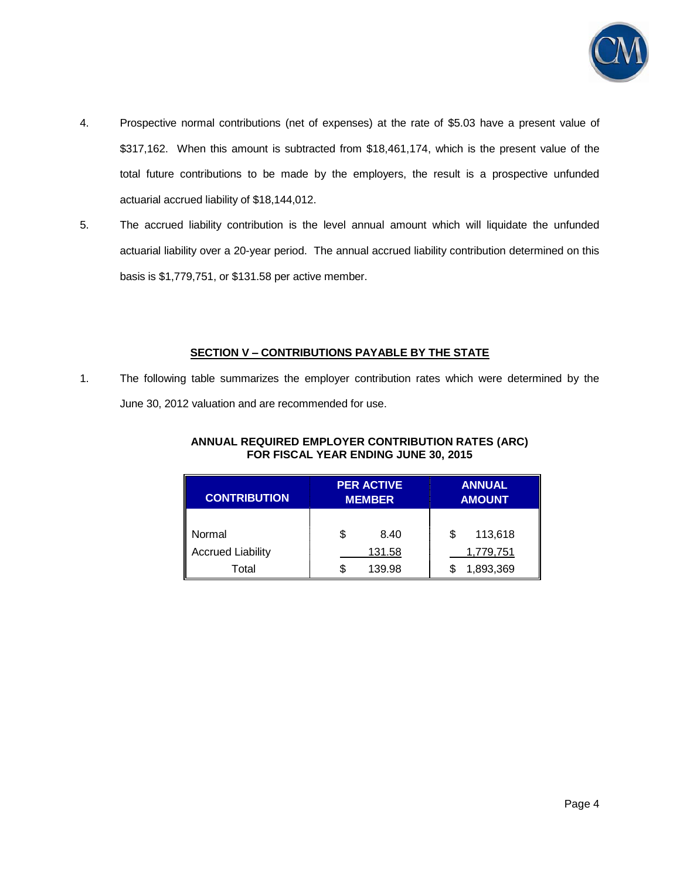

- 4. Prospective normal contributions (net of expenses) at the rate of \$5.03 have a present value of \$317,162. When this amount is subtracted from \$18,461,174, which is the present value of the total future contributions to be made by the employers, the result is a prospective unfunded actuarial accrued liability of \$18,144,012.
- 5. The accrued liability contribution is the level annual amount which will liquidate the unfunded actuarial liability over a 20-year period. The annual accrued liability contribution determined on this basis is \$1,779,751, or \$131.58 per active member.

## **SECTION V – CONTRIBUTIONS PAYABLE BY THE STATE**

1. The following table summarizes the employer contribution rates which were determined by the June 30, 2012 valuation and are recommended for use.

| ANNUAL REQUIRED EMPLOYER CONTRIBUTION RATES (ARC) |
|---------------------------------------------------|
| FOR FISCAL YEAR ENDING JUNE 30, 2015              |

| <b>CONTRIBUTION</b>      | <b>PER ACTIVE</b><br><b>MEMBER</b> |        | <b>ANNUAL</b><br><b>AMOUNT</b> |           |
|--------------------------|------------------------------------|--------|--------------------------------|-----------|
| Normal                   |                                    | 8.40   | S                              | 113,618   |
|                          |                                    |        |                                |           |
| <b>Accrued Liability</b> |                                    | 131.58 |                                | 1,779,751 |
| Total                    |                                    | 139.98 |                                | 1,893,369 |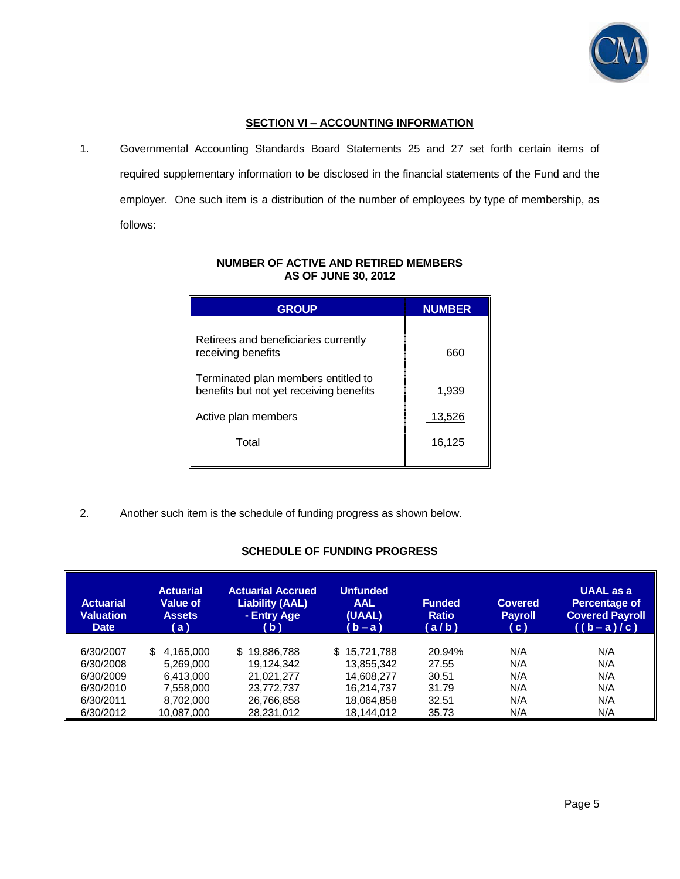

## **SECTION VI – ACCOUNTING INFORMATION**

1. Governmental Accounting Standards Board Statements 25 and 27 set forth certain items of required supplementary information to be disclosed in the financial statements of the Fund and the employer. One such item is a distribution of the number of employees by type of membership, as follows:

| <b>GROUP</b>                                                                   | <b>NUMBER</b> |
|--------------------------------------------------------------------------------|---------------|
| Retirees and beneficiaries currently<br>receiving benefits                     | 660           |
| Terminated plan members entitled to<br>benefits but not yet receiving benefits | 1,939         |
| Active plan members                                                            | 13,526        |
| Total                                                                          | 16,125        |
|                                                                                |               |

### **NUMBER OF ACTIVE AND RETIRED MEMBERS AS OF JUNE 30, 2012**

2. Another such item is the schedule of funding progress as shown below.

### **SCHEDULE OF FUNDING PROGRESS**

| <b>Actuarial</b><br><b>Valuation</b><br><b>Date</b> | <b>Actuarial</b><br><b>Value of</b><br><b>Assets</b><br>(a) | <b>Actuarial Accrued</b><br><b>Liability (AAL)</b><br>- Entry Age<br>( b ) | <b>Unfunded</b><br><b>AAL</b><br>(UAAL)<br>(b-a) | <b>Funded</b><br><b>Ratio</b><br>(a/b) | <b>Covered</b><br><b>Payroll</b><br>(c) | <b>UAAL</b> as a<br><b>Percentage of</b><br><b>Covered Payroll</b><br>$((b-a)/c)$ |
|-----------------------------------------------------|-------------------------------------------------------------|----------------------------------------------------------------------------|--------------------------------------------------|----------------------------------------|-----------------------------------------|-----------------------------------------------------------------------------------|
| 6/30/2007                                           | 4.165.000<br>S.                                             | \$19,886,788                                                               | \$15,721,788                                     | 20.94%                                 | N/A                                     | N/A                                                                               |
| 6/30/2008                                           | 5.269.000                                                   | 19.124.342                                                                 | 13,855,342                                       | 27.55                                  | N/A                                     | N/A                                                                               |
| 6/30/2009                                           | 6.413.000                                                   | 21,021,277                                                                 | 14,608,277                                       | 30.51                                  | N/A                                     | N/A                                                                               |
| 6/30/2010                                           | 7.558.000                                                   | 23.772.737                                                                 | 16.214.737                                       | 31.79                                  | N/A                                     | N/A                                                                               |
| 6/30/2011                                           | 8.702.000                                                   | 26,766,858                                                                 | 18,064,858                                       | 32.51                                  | N/A                                     | N/A                                                                               |
| 6/30/2012                                           | 10.087.000                                                  | 28,231,012                                                                 | 18.144.012                                       | 35.73                                  | N/A                                     | N/A                                                                               |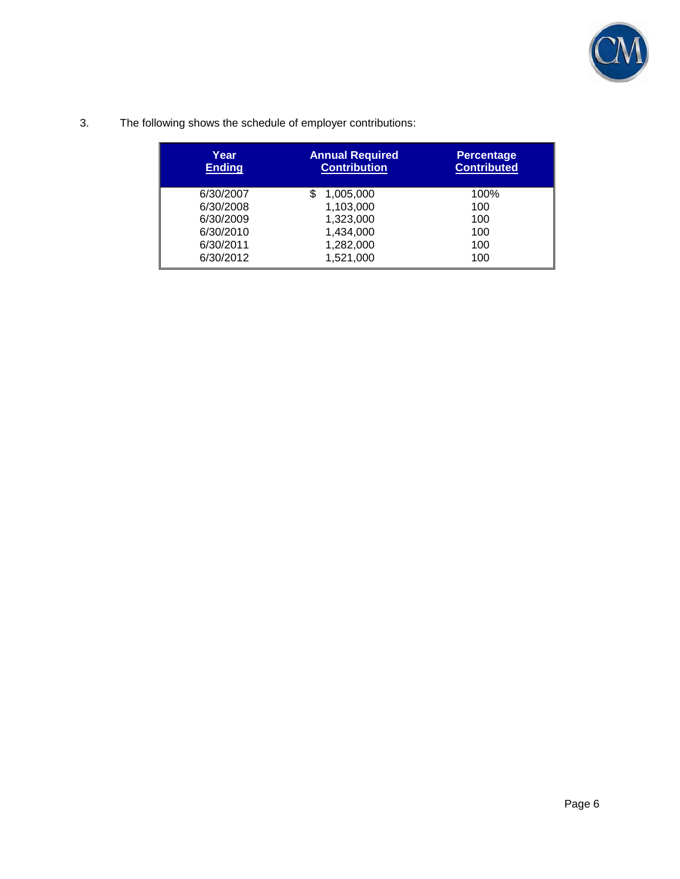

3. The following shows the schedule of employer contributions:

| Year<br><b>Ending</b> | <b>Annual Required</b><br><b>Contribution</b> | <b>Percentage</b><br><b>Contributed</b> |
|-----------------------|-----------------------------------------------|-----------------------------------------|
| 6/30/2007             | 1,005,000                                     | 100%                                    |
| 6/30/2008             | 1,103,000                                     | 100                                     |
| 6/30/2009             | 1,323,000                                     | 100                                     |
| 6/30/2010             | 1,434,000                                     | 100                                     |
| 6/30/2011             | 1,282,000                                     | 100                                     |
| 6/30/2012             | 1,521,000                                     | 100                                     |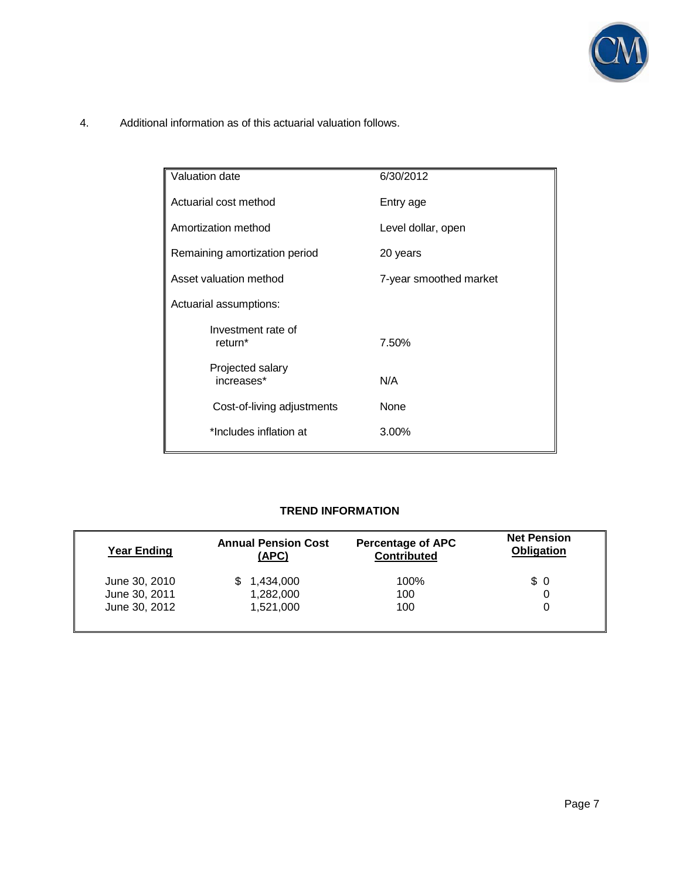

4. Additional information as of this actuarial valuation follows.

| Valuation date                            | 6/30/2012              |
|-------------------------------------------|------------------------|
| Actuarial cost method                     | Entry age              |
| Amortization method                       | Level dollar, open     |
| Remaining amortization period             | 20 years               |
| Asset valuation method                    | 7-year smoothed market |
| Actuarial assumptions:                    |                        |
| Investment rate of<br>return <sup>*</sup> | 7.50%                  |
| Projected salary<br>increases*            | N/A                    |
| Cost-of-living adjustments                | None                   |
| *Includes inflation at                    | 3.00%                  |

## **TREND INFORMATION**

| <b>Year Ending</b> | <b>Annual Pension Cost</b><br>(APC) | <b>Percentage of APC</b><br><b>Contributed</b> | <b>Net Pension</b><br><b>Obligation</b> |
|--------------------|-------------------------------------|------------------------------------------------|-----------------------------------------|
| June 30, 2010      | 1,434,000                           | 100%                                           | $\frac{1}{2}$                           |
| June 30, 2011      | 1,282,000                           | 100                                            |                                         |
| June 30, 2012      | 1,521,000                           | 100                                            |                                         |
|                    |                                     |                                                |                                         |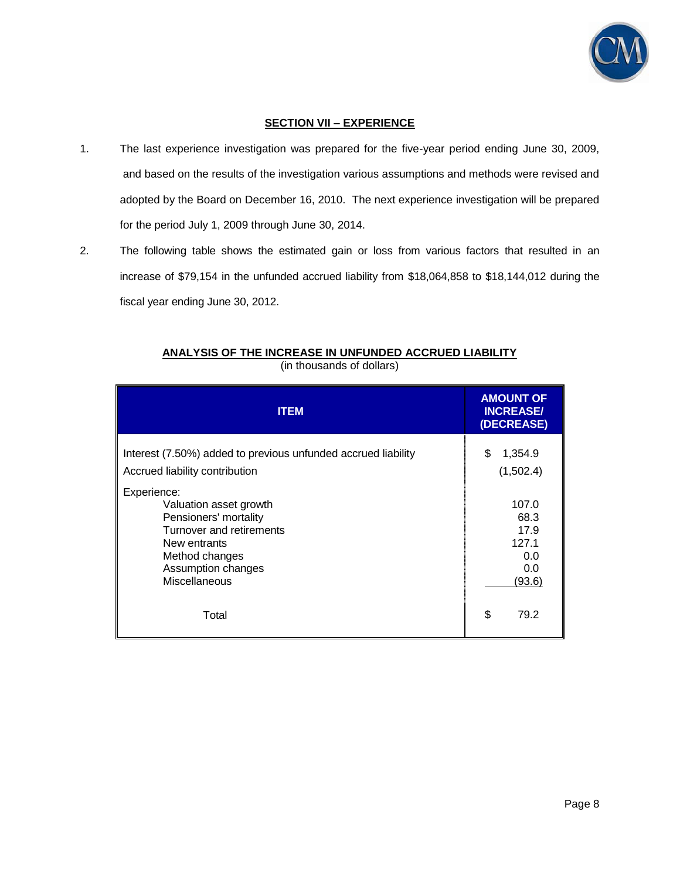

## **SECTION VII – EXPERIENCE**

- 1. The last experience investigation was prepared for the five-year period ending June 30, 2009, and based on the results of the investigation various assumptions and methods were revised and adopted by the Board on December 16, 2010. The next experience investigation will be prepared for the period July 1, 2009 through June 30, 2014.
- 2. The following table shows the estimated gain or loss from various factors that resulted in an increase of \$79,154 in the unfunded accrued liability from \$18,064,858 to \$18,144,012 during the fiscal year ending June 30, 2012.

| <b>ITEM</b>                                                                                                                                                         | <b>AMOUNT OF</b><br><b>INCREASE/</b><br>(DECREASE)     |
|---------------------------------------------------------------------------------------------------------------------------------------------------------------------|--------------------------------------------------------|
| Interest (7.50%) added to previous unfunded accrued liability<br>Accrued liability contribution                                                                     | \$<br>1,354.9<br>(1,502.4)                             |
| Experience:<br>Valuation asset growth<br>Pensioners' mortality<br>Turnover and retirements<br>New entrants<br>Method changes<br>Assumption changes<br>Miscellaneous | 107.0<br>68.3<br>17.9<br>127.1<br>0.0<br>0.0<br>(93.6) |
| Total                                                                                                                                                               | \$<br>79.2                                             |

# **ANALYSIS OF THE INCREASE IN UNFUNDED ACCRUED LIABILITY**

(in thousands of dollars)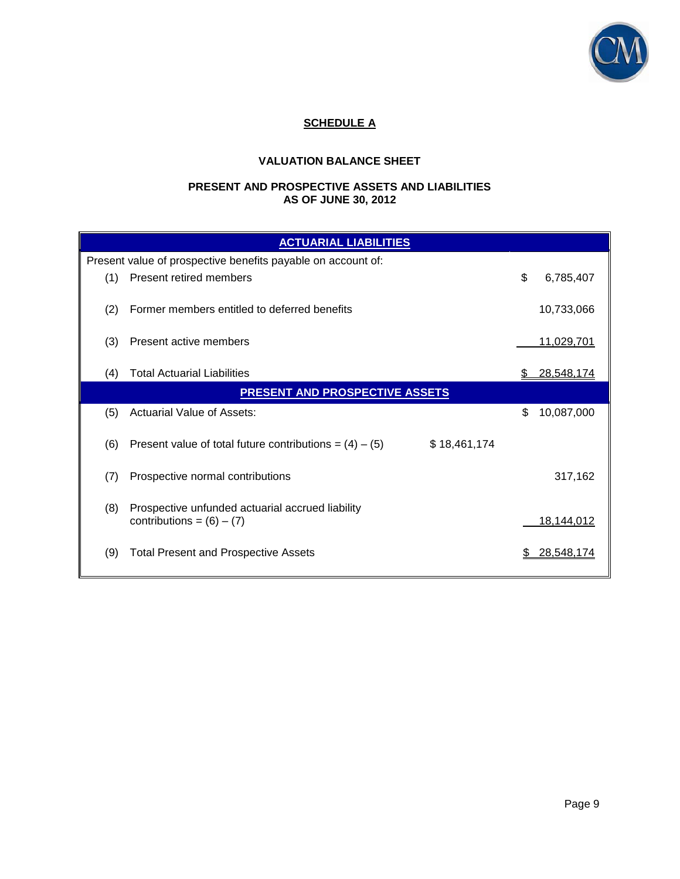

# **SCHEDULE A**

# **VALUATION BALANCE SHEET**

#### **PRESENT AND PROSPECTIVE ASSETS AND LIABILITIES AS OF JUNE 30, 2012**

| <b>ACTUARIAL LIABILITIES</b> |                                                                                 |                  |  |  |  |  |  |  |
|------------------------------|---------------------------------------------------------------------------------|------------------|--|--|--|--|--|--|
|                              | Present value of prospective benefits payable on account of:                    |                  |  |  |  |  |  |  |
| (1)                          | <b>Present retired members</b>                                                  | \$<br>6,785,407  |  |  |  |  |  |  |
| (2)                          | Former members entitled to deferred benefits                                    | 10,733,066       |  |  |  |  |  |  |
| (3)                          | Present active members                                                          | 11,029,701       |  |  |  |  |  |  |
| (4)                          | <b>Total Actuarial Liabilities</b>                                              | 28,548,174       |  |  |  |  |  |  |
|                              | <b>PRESENT AND PROSPECTIVE ASSETS</b>                                           |                  |  |  |  |  |  |  |
| (5)                          | <b>Actuarial Value of Assets:</b>                                               | \$<br>10,087,000 |  |  |  |  |  |  |
| (6)                          | \$18,461,174<br>Present value of total future contributions = $(4) - (5)$       |                  |  |  |  |  |  |  |
| (7)                          | Prospective normal contributions                                                | 317,162          |  |  |  |  |  |  |
| (8)                          | Prospective unfunded actuarial accrued liability<br>contributions = $(6) - (7)$ | 18,144,012       |  |  |  |  |  |  |
| (9)                          | <b>Total Present and Prospective Assets</b>                                     | 28,548,174       |  |  |  |  |  |  |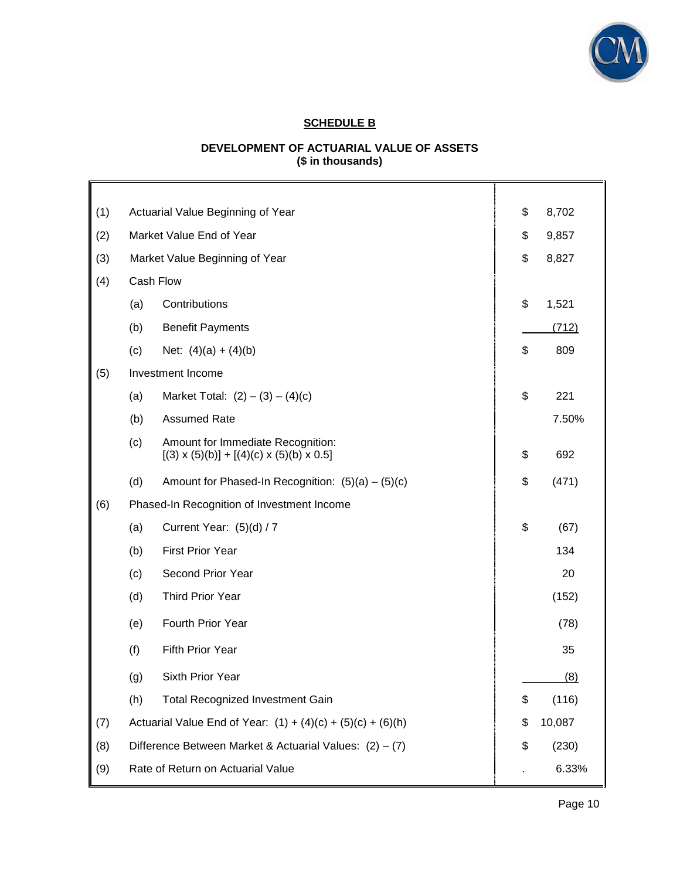

# **SCHEDULE B**

## **DEVELOPMENT OF ACTUARIAL VALUE OF ASSETS (\$ in thousands)**

| (1) | Actuarial Value Beginning of Year                                                                     | \$<br>8,702  |
|-----|-------------------------------------------------------------------------------------------------------|--------------|
| (2) | Market Value End of Year                                                                              | \$<br>9,857  |
| (3) | Market Value Beginning of Year                                                                        | \$<br>8,827  |
| (4) | Cash Flow                                                                                             |              |
|     | (a)<br>Contributions                                                                                  | \$<br>1,521  |
|     | (b)<br><b>Benefit Payments</b>                                                                        | (712)        |
|     | (c)<br>Net: $(4)(a) + (4)(b)$                                                                         | \$<br>809    |
| (5) | Investment Income                                                                                     |              |
|     | Market Total: $(2) - (3) - (4)(c)$<br>(a)                                                             | \$<br>221    |
|     | (b)<br><b>Assumed Rate</b>                                                                            | 7.50%        |
|     | (c)<br>Amount for Immediate Recognition:<br>$[(3) \times (5)(b)] + [(4)(c) \times (5)(b) \times 0.5]$ | \$<br>692    |
|     | (d)<br>Amount for Phased-In Recognition: $(5)(a) - (5)(c)$                                            | \$<br>(471)  |
| (6) | Phased-In Recognition of Investment Income                                                            |              |
|     | (a)<br>Current Year: (5)(d) / 7                                                                       | \$<br>(67)   |
|     | <b>First Prior Year</b><br>(b)                                                                        | 134          |
|     | Second Prior Year<br>(c)                                                                              | 20           |
|     | <b>Third Prior Year</b><br>(d)                                                                        | (152)        |
|     | Fourth Prior Year<br>(e)                                                                              | (78)         |
|     | (f)<br>Fifth Prior Year                                                                               | 35           |
|     | Sixth Prior Year<br>(g)                                                                               | (8)          |
|     | (h)<br><b>Total Recognized Investment Gain</b>                                                        | \$<br>(116)  |
| (7) | Actuarial Value End of Year: $(1) + (4)(c) + (5)(c) + (6)(h)$                                         | \$<br>10,087 |
| (8) | Difference Between Market & Actuarial Values: $(2) - (7)$                                             | \$<br>(230)  |
| (9) | Rate of Return on Actuarial Value                                                                     | 6.33%        |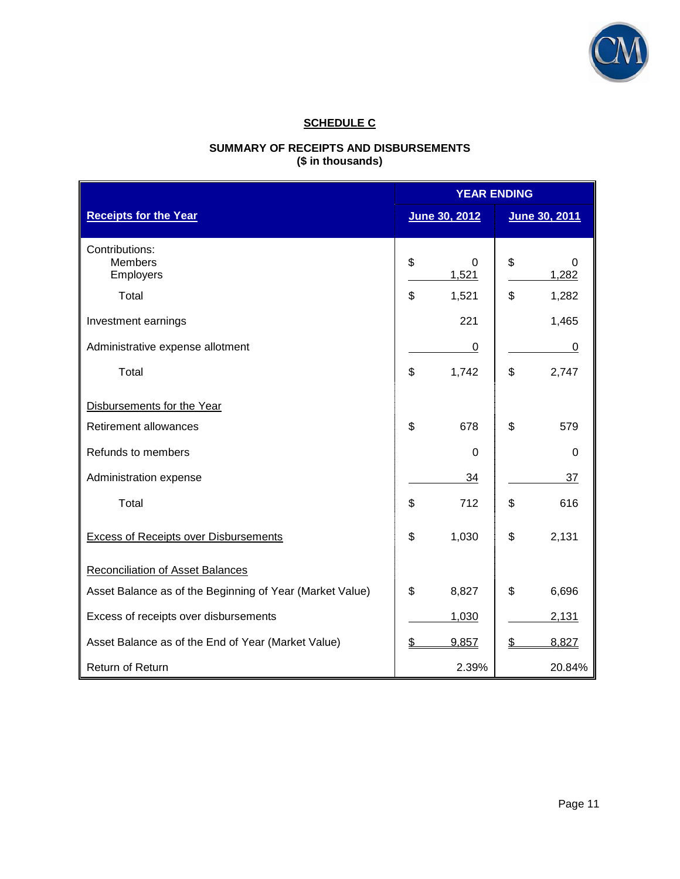

# **SCHEDULE C**

## **SUMMARY OF RECEIPTS AND DISBURSEMENTS (\$ in thousands)**

|                                                          | <b>YEAR ENDING</b> |               |    |               |  |
|----------------------------------------------------------|--------------------|---------------|----|---------------|--|
| <b>Receipts for the Year</b>                             |                    | June 30, 2012 |    | June 30, 2011 |  |
| Contributions:<br><b>Members</b><br>Employers            | \$                 | 0<br>1,521    | \$ | 0<br>1,282    |  |
| Total                                                    | \$                 | 1,521         | \$ | 1,282         |  |
| Investment earnings                                      |                    | 221           |    | 1,465         |  |
| Administrative expense allotment                         |                    | 0             |    | 0             |  |
| Total                                                    | \$                 | 1,742         | \$ | 2,747         |  |
| Disbursements for the Year                               |                    |               |    |               |  |
| <b>Retirement allowances</b>                             | \$                 | 678           | \$ | 579           |  |
| Refunds to members                                       |                    | $\mathbf 0$   |    | $\Omega$      |  |
| Administration expense                                   |                    | 34            |    | 37            |  |
| Total                                                    | \$                 | 712           | \$ | 616           |  |
| <b>Excess of Receipts over Disbursements</b>             | \$                 | 1,030         | \$ | 2,131         |  |
| <b>Reconciliation of Asset Balances</b>                  |                    |               |    |               |  |
| Asset Balance as of the Beginning of Year (Market Value) | \$                 | 8,827         | \$ | 6,696         |  |
| Excess of receipts over disbursements                    |                    | 1,030         |    | 2,131         |  |
| Asset Balance as of the End of Year (Market Value)       | \$                 | 9,857         | \$ | 8,827         |  |
| Return of Return                                         |                    | 2.39%         |    | 20.84%        |  |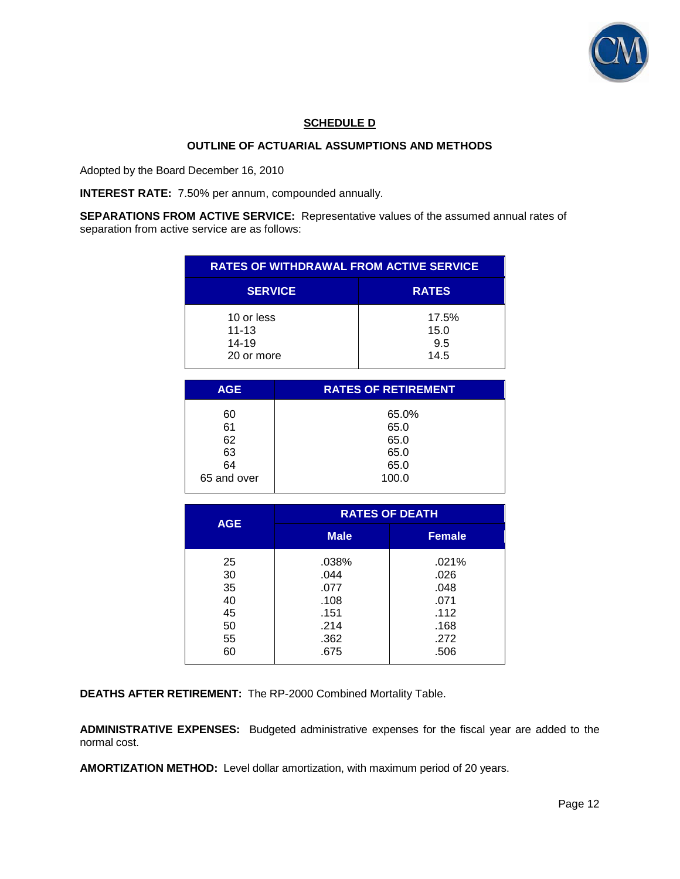

## **SCHEDULE D**

### **OUTLINE OF ACTUARIAL ASSUMPTIONS AND METHODS**

Adopted by the Board December 16, 2010

**INTEREST RATE:** 7.50% per annum, compounded annually.

**SEPARATIONS FROM ACTIVE SERVICE:** Representative values of the assumed annual rates of separation from active service are as follows:

| <b>RATES OF WITHDRAWAL FROM ACTIVE SERVICE</b> |                              |  |  |  |  |
|------------------------------------------------|------------------------------|--|--|--|--|
| <b>SERVICE</b>                                 | <b>RATES</b>                 |  |  |  |  |
| 10 or less<br>$11 - 13$<br>14-19<br>20 or more | 17.5%<br>15.0<br>9.5<br>14.5 |  |  |  |  |

| <b>AGE</b>        | <b>RATES OF RETIREMENT</b> |  |  |  |
|-------------------|----------------------------|--|--|--|
| 60                | 65.0%                      |  |  |  |
| 61<br>62          | 65.0<br>65.0               |  |  |  |
| 63                | 65.0                       |  |  |  |
| 64<br>65 and over | 65.0<br>100.0              |  |  |  |
|                   |                            |  |  |  |

|            | <b>RATES OF DEATH</b> |               |  |  |  |
|------------|-----------------------|---------------|--|--|--|
| <b>AGE</b> | <b>Male</b>           | <b>Female</b> |  |  |  |
| 25         | .038%                 | .021%         |  |  |  |
| 30         | .044                  | .026          |  |  |  |
| 35         | .077                  | .048          |  |  |  |
| 40         | .108                  | .071          |  |  |  |
| 45         | .151                  | .112          |  |  |  |
| 50         | .214                  | .168          |  |  |  |
| 55         | .362                  | .272          |  |  |  |
| 60         | .675                  | .506          |  |  |  |

**DEATHS AFTER RETIREMENT:** The RP-2000 Combined Mortality Table.

**ADMINISTRATIVE EXPENSES:** Budgeted administrative expenses for the fiscal year are added to the normal cost.

**AMORTIZATION METHOD:** Level dollar amortization, with maximum period of 20 years.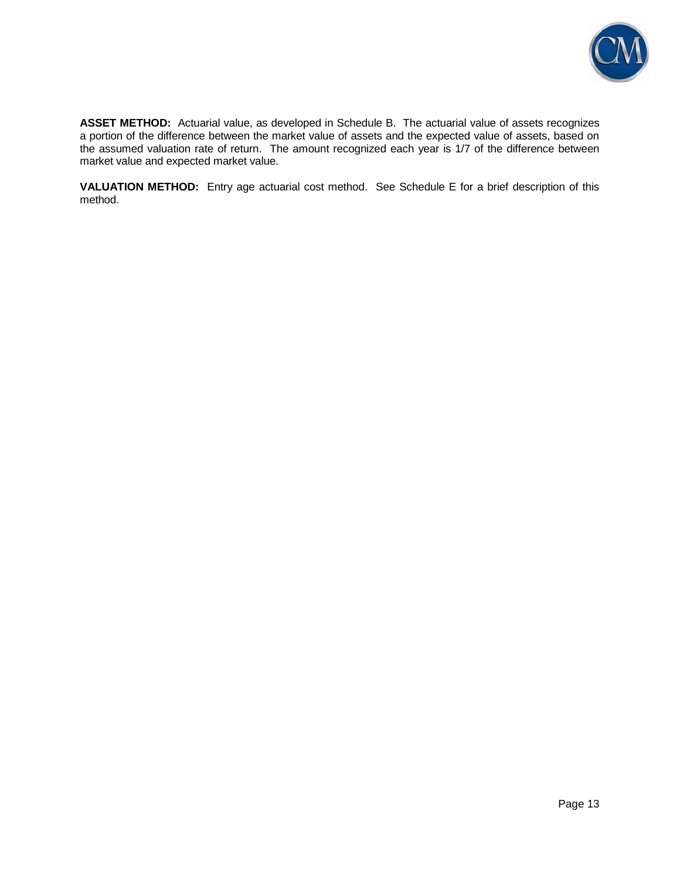

**ASSET METHOD:** Actuarial value, as developed in Schedule B. The actuarial value of assets recognizes a portion of the difference between the market value of assets and the expected value of assets, based on the assumed valuation rate of return. The amount recognized each year is 1/7 of the difference between market value and expected market value.

**VALUATION METHOD:** Entry age actuarial cost method. See Schedule E for a brief description of this method.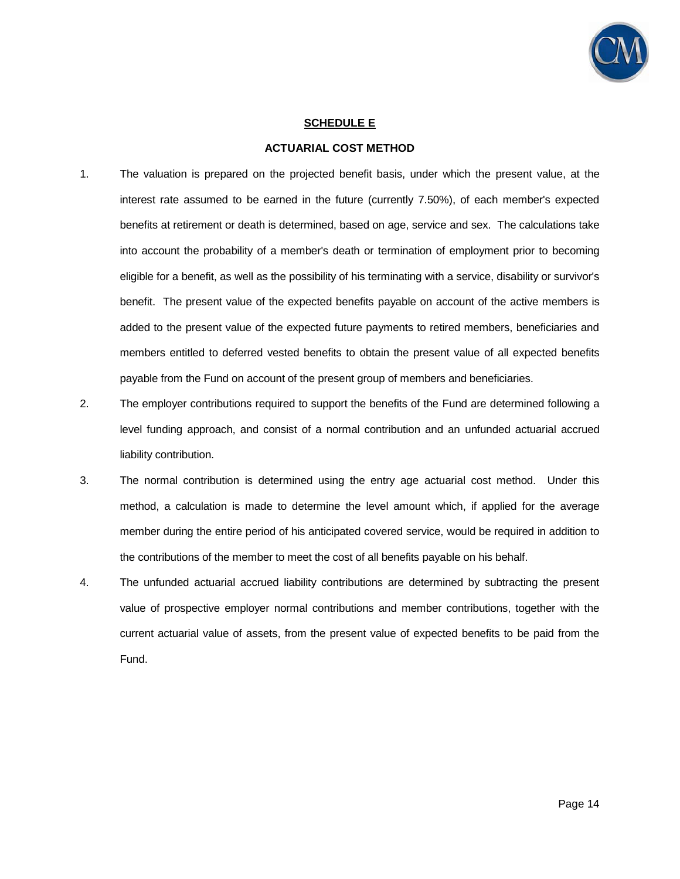

### **SCHEDULE E**

#### **ACTUARIAL COST METHOD**

- 1. The valuation is prepared on the projected benefit basis, under which the present value, at the interest rate assumed to be earned in the future (currently 7.50%), of each member's expected benefits at retirement or death is determined, based on age, service and sex. The calculations take into account the probability of a member's death or termination of employment prior to becoming eligible for a benefit, as well as the possibility of his terminating with a service, disability or survivor's benefit. The present value of the expected benefits payable on account of the active members is added to the present value of the expected future payments to retired members, beneficiaries and members entitled to deferred vested benefits to obtain the present value of all expected benefits payable from the Fund on account of the present group of members and beneficiaries.
- 2. The employer contributions required to support the benefits of the Fund are determined following a level funding approach, and consist of a normal contribution and an unfunded actuarial accrued liability contribution.
- 3. The normal contribution is determined using the entry age actuarial cost method. Under this method, a calculation is made to determine the level amount which, if applied for the average member during the entire period of his anticipated covered service, would be required in addition to the contributions of the member to meet the cost of all benefits payable on his behalf.
- 4. The unfunded actuarial accrued liability contributions are determined by subtracting the present value of prospective employer normal contributions and member contributions, together with the current actuarial value of assets, from the present value of expected benefits to be paid from the Fund.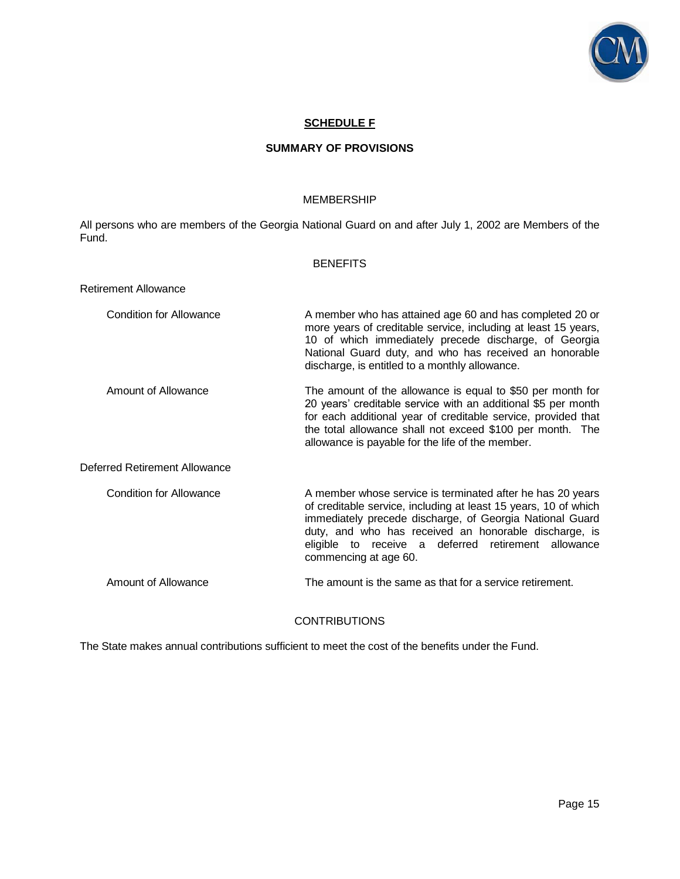

## **SCHEDULE F**

### **SUMMARY OF PROVISIONS**

#### MEMBERSHIP

All persons who are members of the Georgia National Guard on and after July 1, 2002 are Members of the Fund.

|                                | <b>BENEFITS</b>                                                                                                                                                                                                                                                                                                                    |
|--------------------------------|------------------------------------------------------------------------------------------------------------------------------------------------------------------------------------------------------------------------------------------------------------------------------------------------------------------------------------|
| Retirement Allowance           |                                                                                                                                                                                                                                                                                                                                    |
| Condition for Allowance        | A member who has attained age 60 and has completed 20 or<br>more years of creditable service, including at least 15 years,<br>10 of which immediately precede discharge, of Georgia<br>National Guard duty, and who has received an honorable<br>discharge, is entitled to a monthly allowance.                                    |
| Amount of Allowance            | The amount of the allowance is equal to \$50 per month for<br>20 years' creditable service with an additional \$5 per month<br>for each additional year of creditable service, provided that<br>the total allowance shall not exceed \$100 per month. The<br>allowance is payable for the life of the member.                      |
| Deferred Retirement Allowance  |                                                                                                                                                                                                                                                                                                                                    |
| <b>Condition for Allowance</b> | A member whose service is terminated after he has 20 years<br>of creditable service, including at least 15 years, 10 of which<br>immediately precede discharge, of Georgia National Guard<br>duty, and who has received an honorable discharge, is<br>eligible to receive a deferred retirement allowance<br>commencing at age 60. |
| Amount of Allowance            | The amount is the same as that for a service retirement.                                                                                                                                                                                                                                                                           |
|                                | <b>CONTRIBUTIONS</b>                                                                                                                                                                                                                                                                                                               |

The State makes annual contributions sufficient to meet the cost of the benefits under the Fund.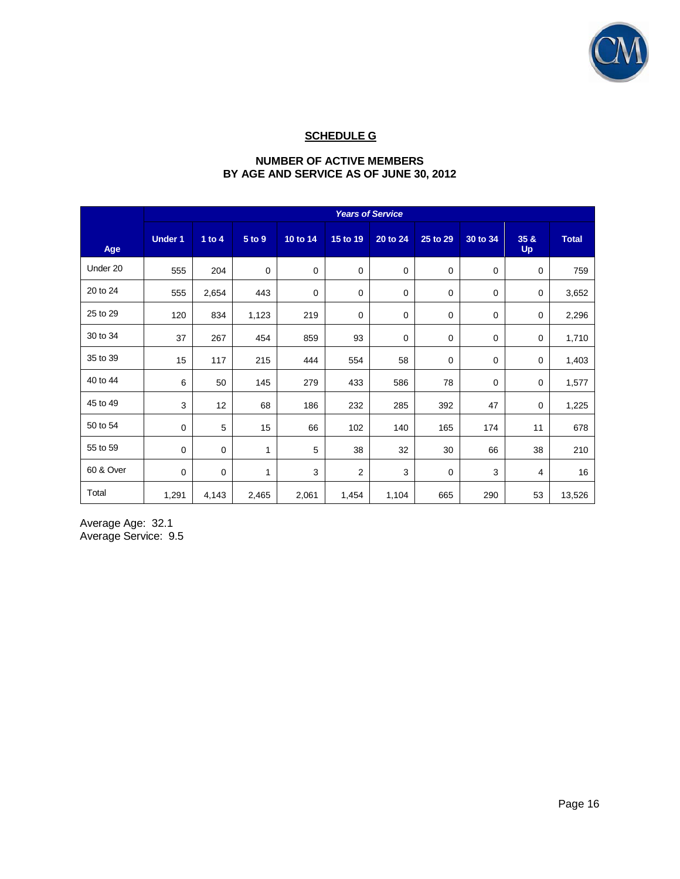

# **SCHEDULE G**

## **NUMBER OF ACTIVE MEMBERS BY AGE AND SERVICE AS OF JUNE 30, 2012**

|           | <b>Years of Service</b> |          |             |             |                |             |             |          |                     |              |
|-----------|-------------------------|----------|-------------|-------------|----------------|-------------|-------------|----------|---------------------|--------------|
| Age       | <b>Under 1</b>          | 1 to $4$ | 5 to 9      | 10 to 14    | 15 to 19       | 20 to 24    | 25 to 29    | 30 to 34 | 35 & 8<br><b>Up</b> | <b>Total</b> |
| Under 20  | 555                     | 204      | $\mathbf 0$ | $\mathbf 0$ | $\mathbf 0$    | $\mathbf 0$ | $\mathbf 0$ | 0        | 0                   | 759          |
| 20 to 24  | 555                     | 2,654    | 443         | $\mathbf 0$ | $\mathbf 0$    | 0           | $\mathbf 0$ | 0        | 0                   | 3,652        |
| 25 to 29  | 120                     | 834      | 1,123       | 219         | $\mathbf 0$    | 0           | 0           | 0        | 0                   | 2,296        |
| 30 to 34  | 37                      | 267      | 454         | 859         | 93             | 0           | 0           | 0        | 0                   | 1,710        |
| 35 to 39  | 15                      | 117      | 215         | 444         | 554            | 58          | 0           | 0        | 0                   | 1,403        |
| 40 to 44  | 6                       | 50       | 145         | 279         | 433            | 586         | 78          | 0        | 0                   | 1,577        |
| 45 to 49  | 3                       | 12       | 68          | 186         | 232            | 285         | 392         | 47       | 0                   | 1,225        |
| 50 to 54  | 0                       | 5        | 15          | 66          | 102            | 140         | 165         | 174      | 11                  | 678          |
| 55 to 59  | $\mathbf 0$             | 0        | 1           | 5           | 38             | 32          | 30          | 66       | 38                  | 210          |
| 60 & Over | $\mathbf 0$             | 0        | 1           | 3           | $\overline{2}$ | 3           | 0           | 3        | 4                   | 16           |
| Total     | 1,291                   | 4,143    | 2,465       | 2,061       | 1,454          | 1,104       | 665         | 290      | 53                  | 13,526       |

Average Age: 32.1 Average Service: 9.5